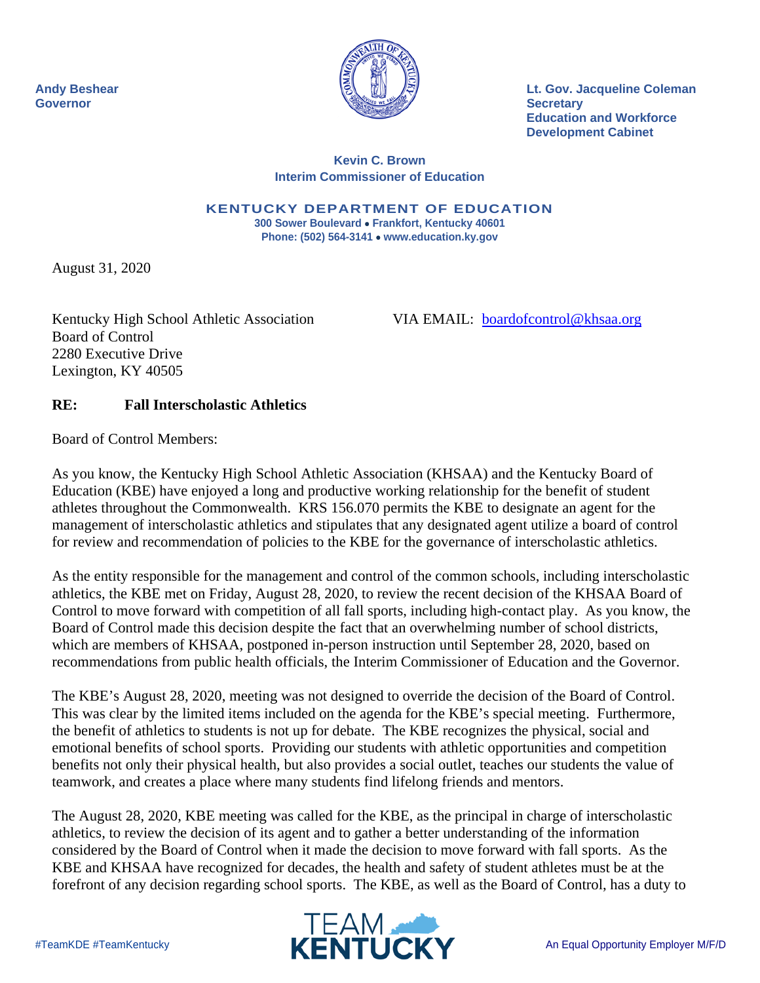

**Andy Beshear Lt. Gov. Jacqueline Coleman Education and Workforce Development Cabinet** 

## **Kevin C. Brown Interim Commissioner of Education**

 **300 Sower Boulevard Frankfort, Kentucky 40601 KENTUCKY DEPARTMENT OF EDUCATION Phone: (502) 564-3141 www.education.ky.gov** 

August 31, 2020

Kentucky High School Athletic Association<br>Board of Control 2280 Executive Drive Lexington, KY 40505

VIA EMAIL: boardofcontrol@khsaa.org

## **RE: Fall Interscholastic Athletics**

Board of Control Members:

As you know, the Kentucky High School Athletic Association (KHSAA) and the Kentucky Board of Education (KBE) have enjoyed a long and productive working relationship for the benefit of student athletes throughout the Commonwealth. KRS 156.070 permits the KBE to designate an agent for the management of interscholastic athletics and stipulates that any designated agent utilize a board of control for review and recommendation of policies to the KBE for the governance of interscholastic athletics.

As the entity responsible for the management and control of the common schools, including interscholastic athletics, the KBE met on Friday, August 28, 2020, to review the recent decision of the KHSAA Board of Control to move forward with competition of all fall sports, including high-contact play. As you know, the Board of Control made this decision despite the fact that an overwhelming number of school districts, which are members of KHSAA, postponed in-person instruction until September 28, 2020, based on recommendations from public health officials, the Interim Commissioner of Education and the Governor.

The KBE's August 28, 2020, meeting was not designed to override the decision of the Board of Control. This was clear by the limited items included on the agenda for the KBE's special meeting. Furthermore, the benefit of athletics to students is not up for debate. The KBE recognizes the physical, social and emotional benefits of school sports. Providing our students with athletic opportunities and competition benefits not only their physical health, but also provides a social outlet, teaches our students the value of teamwork, and creates a place where many students find lifelong friends and mentors.

The August 28, 2020, KBE meeting was called for the KBE, as the principal in charge of interscholastic athletics, to review the decision of its agent and to gather a better understanding of the information considered by the Board of Control when it made the decision to move forward with fall sports. As the KBE and KHSAA have recognized for decades, the health and safety of student athletes must be at the forefront of any decision regarding school sports. The KBE, as well as the Board of Control, has a duty to

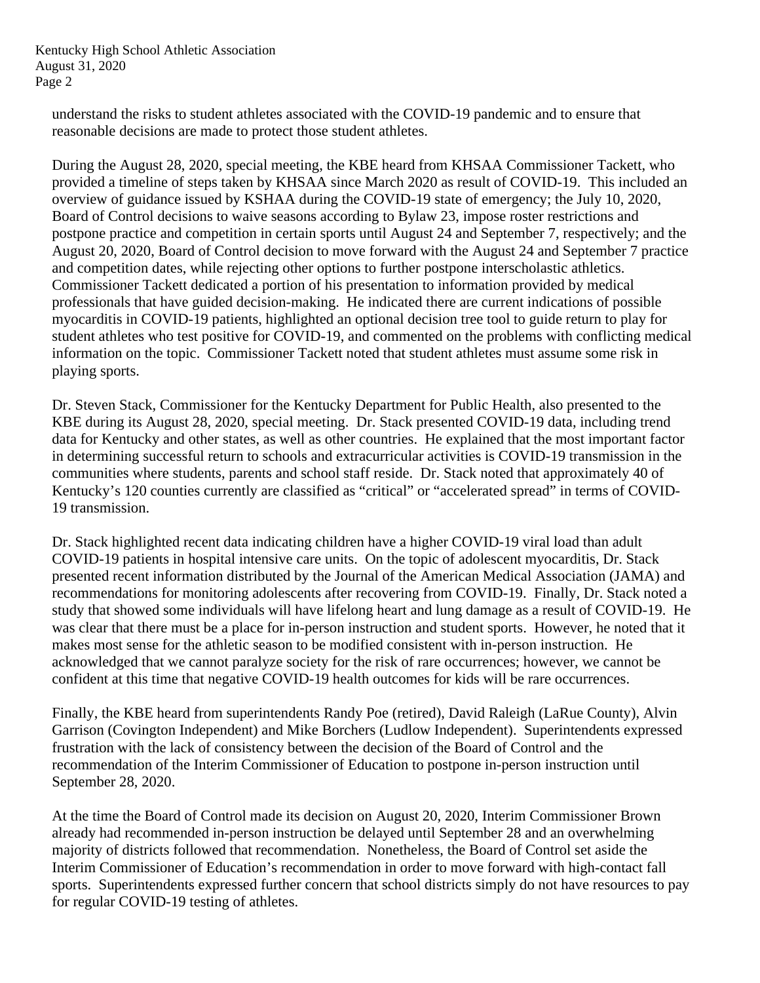Kentucky High School Athletic Association August 31, 2020 Page 2

understand the risks to student athletes associated with the COVID-19 pandemic and to ensure that reasonable decisions are made to protect those student athletes.

During the August 28, 2020, special meeting, the KBE heard from KHSAA Commissioner Tackett, who provided a timeline of steps taken by KHSAA since March 2020 as result of COVID-19. This included an overview of guidance issued by KSHAA during the COVID-19 state of emergency; the July 10, 2020, Board of Control decisions to waive seasons according to Bylaw 23, impose roster restrictions and postpone practice and competition in certain sports until August 24 and September 7, respectively; and the August 20, 2020, Board of Control decision to move forward with the August 24 and September 7 practice and competition dates, while rejecting other options to further postpone interscholastic athletics. Commissioner Tackett dedicated a portion of his presentation to information provided by medical professionals that have guided decision-making. He indicated there are current indications of possible myocarditis in COVID-19 patients, highlighted an optional decision tree tool to guide return to play for student athletes who test positive for COVID-19, and commented on the problems with conflicting medical information on the topic. Commissioner Tackett noted that student athletes must assume some risk in playing sports.

Dr. Steven Stack, Commissioner for the Kentucky Department for Public Health, also presented to the KBE during its August 28, 2020, special meeting. Dr. Stack presented COVID-19 data, including trend data for Kentucky and other states, as well as other countries. He explained that the most important factor in determining successful return to schools and extracurricular activities is COVID-19 transmission in the communities where students, parents and school staff reside. Dr. Stack noted that approximately 40 of Kentucky's 120 counties currently are classified as "critical" or "accelerated spread" in terms of COVID-19 transmission.

confident at this time that negative COVID-19 health outcomes for kids will be rare occurrences. Dr. Stack highlighted recent data indicating children have a higher COVID-19 viral load than adult COVID-19 patients in hospital intensive care units. On the topic of adolescent myocarditis, Dr. Stack presented recent information distributed by the Journal of the American Medical Association (JAMA) and recommendations for monitoring adolescents after recovering from COVID-19. Finally, Dr. Stack noted a study that showed some individuals will have lifelong heart and lung damage as a result of COVID-19. He was clear that there must be a place for in-person instruction and student sports. However, he noted that it makes most sense for the athletic season to be modified consistent with in-person instruction. He acknowledged that we cannot paralyze society for the risk of rare occurrences; however, we cannot be

Finally, the KBE heard from superintendents Randy Poe (retired), David Raleigh (LaRue County), Alvin Garrison (Covington Independent) and Mike Borchers (Ludlow Independent). Superintendents expressed frustration with the lack of consistency between the decision of the Board of Control and the recommendation of the Interim Commissioner of Education to postpone in-person instruction until September 28, 2020.

At the time the Board of Control made its decision on August 20, 2020, Interim Commissioner Brown already had recommended in-person instruction be delayed until September 28 and an overwhelming majority of districts followed that recommendation. Nonetheless, the Board of Control set aside the Interim Commissioner of Education's recommendation in order to move forward with high-contact fall sports. Superintendents expressed further concern that school districts simply do not have resources to pay for regular COVID-19 testing of athletes.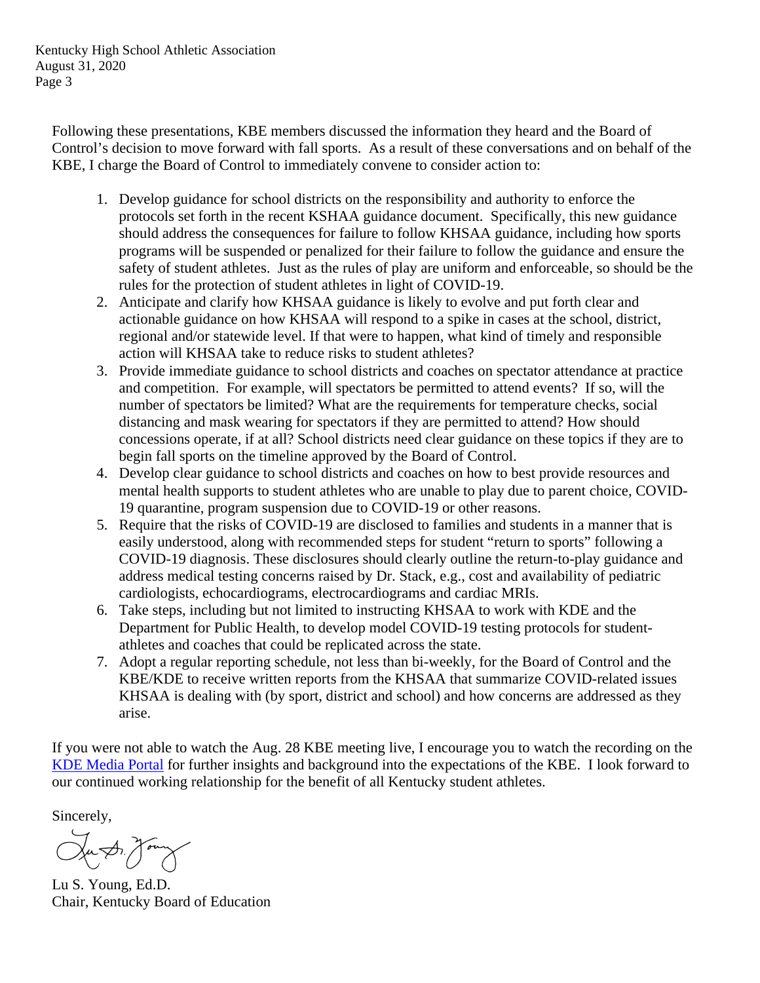Kentucky High School Athletic Association August 31, 2020 Page 3

Following these presentations, KBE members discussed the information they heard and the Board of Control's decision to move forward with fall sports. As a result of these conversations and on behalf of the KBE, I charge the Board of Control to immediately convene to consider action to:

- 1. Develop guidance for school districts on the responsibility and authority to enforce the protocols set forth in the recent KSHAA guidance document. Specifically, this new guidance should address the consequences for failure to follow KHSAA guidance, including how sports programs will be suspended or penalized for their failure to follow the guidance and ensure the safety of student athletes. Just as the rules of play are uniform and enforceable, so should be the rules for the protection of student athletes in light of COVID-19.
- 2. Anticipate and clarify how KHSAA guidance is likely to evolve and put forth clear and actionable guidance on how KHSAA will respond to a spike in cases at the school, district, regional and/or statewide level. If that were to happen, what kind of timely and responsible action will KHSAA take to reduce risks to student athletes?
- 3. Provide immediate guidance to school districts and coaches on spectator attendance at practice and competition. For example, will spectators be permitted to attend events? If so, will the number of spectators be limited? What are the requirements for temperature checks, social distancing and mask wearing for spectators if they are permitted to attend? How should concessions operate, if at all? School districts need clear guidance on these topics if they are to begin fall sports on the timeline approved by the Board of Control.
- 4. Develop clear guidance to school districts and coaches on how to best provide resources and mental health supports to student athletes who are unable to play due to parent choice, COVID-19 quarantine, program suspension due to COVID-19 or other reasons.
- 5. Require that the risks of COVID-19 are disclosed to families and students in a manner that is easily understood, along with recommended steps for student "return to sports" following a COVID-19 diagnosis. These disclosures should clearly outline the return-to-play guidance and address medical testing concerns raised by Dr. Stack, e.g., cost and availability of pediatric cardiologists, echocardiograms, electrocardiograms and cardiac MRIs.
- 6. Take steps, including but not limited to instructing KHSAA to work with KDE and the Department for Public Health, to develop model COVID-19 testing protocols for studentathletes and coaches that could be replicated across the state.
- 7. Adopt a regular reporting schedule, not less than bi-weekly, for the Board of Control and the KBE/KDE to receive written reports from the KHSAA that summarize COVID-related issues KHSAA is dealing with (by sport, district and school) and how concerns are addressed as they arise.

If you were not able to watch the Aug. 28 KBE meeting live, I encourage you to watch the recording on the KDE Media Portal for further insights and background into the expectations of the KBE. I look forward to our continued working relationship for the benefit of all Kentucky student athletes.

Sincerely,

Ju Dr. Jony

Lu S. Young, Ed.D. Chair, Kentucky Board of Education